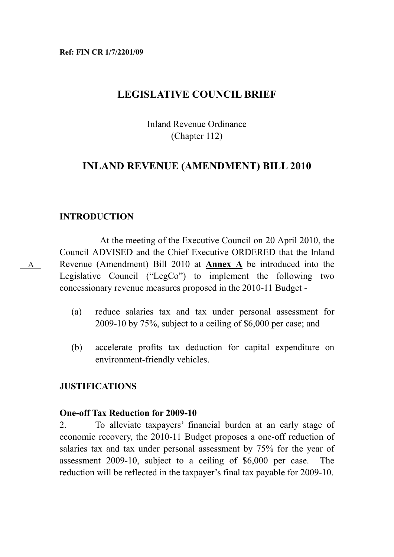**Ref: FIN CR 1/7/2201/09**

# **LEGISLATIVE COUNCIL BRIEF**

Inland Revenue Ordinance (Chapter 112)

# **INLAND REVENUE (AMENDMENT) BILL 2010**

### **INTRODUCTION**

A

At the meeting of the Executive Council on 20 April 2010, the Council ADVISED and the Chief Executive ORDERED that the Inland Revenue (Amendment) Bill 2010 at **Annex A** be introduced into the Legislative Council ("LegCo") to implement the following two concessionary revenue measures proposed in the 2010-11 Budget -

- (a) reduce salaries tax and tax under personal assessment for 2009-10 by 75%, subject to a ceiling of \$6,000 per case; and
- (b) accelerate profits tax deduction for capital expenditure on environment-friendly vehicles.

### **JUSTIFICATIONS**

#### **One-off Tax Reduction for 2009-10**

2. To alleviate taxpayers' financial burden at an early stage of economic recovery, the 2010-11 Budget proposes a one-off reduction of salaries tax and tax under personal assessment by 75% for the year of assessment 2009-10, subject to a ceiling of \$6,000 per case. The reduction will be reflected in the taxpayer's final tax payable for 2009-10.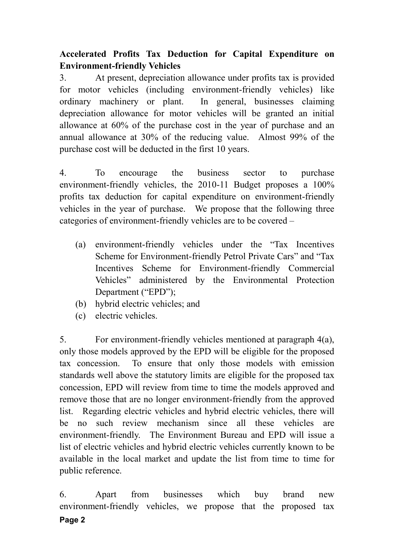# **Accelerated Profits Tax Deduction for Capital Expenditure on Environment-friendly Vehicles**

3. At present, depreciation allowance under profits tax is provided for motor vehicles (including environment-friendly vehicles) like ordinary machinery or plant. In general, businesses claiming depreciation allowance for motor vehicles will be granted an initial allowance at 60% of the purchase cost in the year of purchase and an annual allowance at 30% of the reducing value. Almost 99% of the purchase cost will be deducted in the first 10 years.

4. To encourage the business sector to purchase environment-friendly vehicles, the 2010-11 Budget proposes a 100% profits tax deduction for capital expenditure on environment-friendly vehicles in the year of purchase. We propose that the following three categories of environment-friendly vehicles are to be covered –

- (a) environment-friendly vehicles under the "Tax Incentives Scheme for Environment-friendly Petrol Private Cars" and "Tax Incentives Scheme for Environment-friendly Commercial Vehicles" administered by the Environmental Protection Department ("EPD");
- (b) hybrid electric vehicles; and
- (c) electric vehicles.

5. For environment-friendly vehicles mentioned at paragraph 4(a), only those models approved by the EPD will be eligible for the proposed tax concession. To ensure that only those models with emission standards well above the statutory limits are eligible for the proposed tax concession, EPD will review from time to time the models approved and remove those that are no longer environment-friendly from the approved list. Regarding electric vehicles and hybrid electric vehicles, there will be no such review mechanism since all these vehicles are environment-friendly. The Environment Bureau and EPD will issue a list of electric vehicles and hybrid electric vehicles currently known to be available in the local market and update the list from time to time for public reference.

**Page 2** 6. Apart from businesses which buy brand new environment-friendly vehicles, we propose that the proposed tax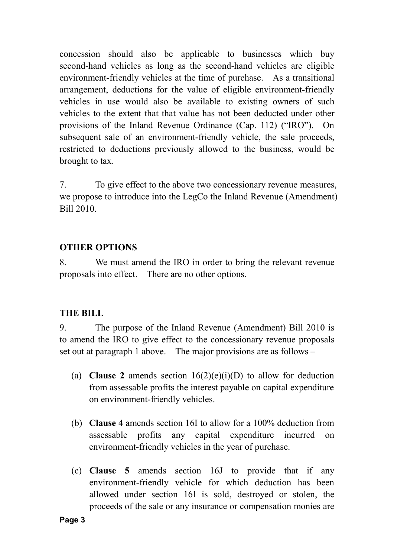concession should also be applicable to businesses which buy second-hand vehicles as long as the second-hand vehicles are eligible environment-friendly vehicles at the time of purchase. As a transitional arrangement, deductions for the value of eligible environment-friendly vehicles in use would also be available to existing owners of such vehicles to the extent that that value has not been deducted under other provisions of the Inland Revenue Ordinance (Cap. 112) ("IRO"). On subsequent sale of an environment-friendly vehicle, the sale proceeds, restricted to deductions previously allowed to the business, would be brought to tax.

7. To give effect to the above two concessionary revenue measures, we propose to introduce into the LegCo the Inland Revenue (Amendment) Bill 2010.

# **OTHER OPTIONS**

8. We must amend the IRO in order to bring the relevant revenue proposals into effect. There are no other options.

# **THE BILL**

9. The purpose of the Inland Revenue (Amendment) Bill 2010 is to amend the IRO to give effect to the concessionary revenue proposals set out at paragraph 1 above. The major provisions are as follows –

- (a) **Clause 2** amends section  $16(2)(e)(i)(D)$  to allow for deduction from assessable profits the interest payable on capital expenditure on environment-friendly vehicles.
- (b) **Clause 4** amends section 16I to allow for a 100% deduction from assessable profits any capital expenditure incurred on environment-friendly vehicles in the year of purchase.
- (c) **Clause 5** amends section 16J to provide that if any environment-friendly vehicle for which deduction has been allowed under section 16I is sold, destroyed or stolen, the proceeds of the sale or any insurance or compensation monies are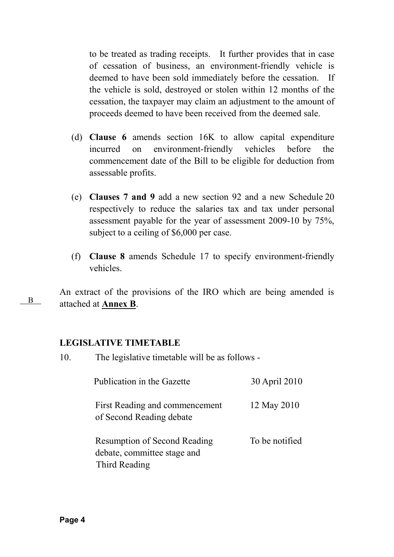to be treated as trading receipts. It further provides that in case of cessation of business, an environment-friendly vehicle is deemed to have been sold immediately before the cessation. If the vehicle is sold, destroyed or stolen within 12 months of the cessation, the taxpayer may claim an adjustment to the amount of proceeds deemed to have been received from the deemed sale.

- (d) **Clause 6** amends section 16K to allow capital expenditure incurred on environment-friendly vehicles before the commencement date of the Bill to be eligible for deduction from assessable profits.
- (e) **Clauses 7 and 9** add a new section 92 and a new Schedule 20 respectively to reduce the salaries tax and tax under personal assessment payable for the year of assessment 2009-10 by 75%, subject to a ceiling of \$6,000 per case.
- (f) **Clause 8** amends Schedule 17 to specify environment-friendly vehicles.

An extract of the provisions of the IRO which are being amended is attached at **Annex B**.

### **LEGISLATIVE TIMETABLE**

10. The legislative timetable will be as follows -

Publication in the Gazette 30 April 2010 First Reading and commencement 12 May 2010 of Second Reading debate Resumption of Second Reading To be notified debate, committee stage and Third Reading

B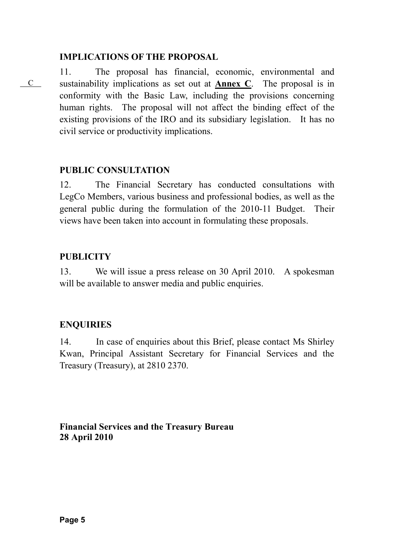# **IMPLICATIONS OF THE PROPOSAL**

11. The proposal has financial, economic, environmental and sustainability implications as set out at **Annex C**. The proposal is in conformity with the Basic Law, including the provisions concerning human rights. The proposal will not affect the binding effect of the existing provisions of the IRO and its subsidiary legislation. It has no civil service or productivity implications.

# **PUBLIC CONSULTATION**

12. The Financial Secretary has conducted consultations with LegCo Members, various business and professional bodies, as well as the general public during the formulation of the 2010-11 Budget. Their views have been taken into account in formulating these proposals.

# **PUBLICITY**

C

13. We will issue a press release on 30 April 2010. A spokesman will be available to answer media and public enquiries.

### **ENQUIRIES**

14. In case of enquiries about this Brief, please contact Ms Shirley Kwan, Principal Assistant Secretary for Financial Services and the Treasury (Treasury), at 2810 2370.

**Financial Services and the Treasury Bureau 28 April 2010**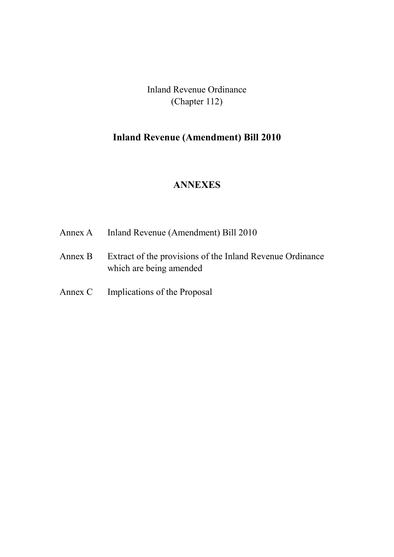Inland Revenue Ordinance (Chapter 112)

# **Inland Revenue (Amendment) Bill 2010**

# **ANNEXES**

|         | Annex A Inland Revenue (Amendment) Bill 2010                                         |
|---------|--------------------------------------------------------------------------------------|
| Annex B | Extract of the provisions of the Inland Revenue Ordinance<br>which are being amended |
|         | Annex C Implications of the Proposal                                                 |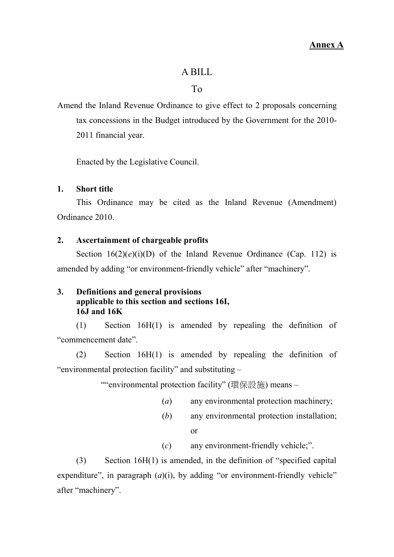### A BILL

To

Amend the Inland Revenue Ordinance to give effect to 2 proposals concerning tax concessions in the Budget introduced by the Government for the 2010- 2011 financial year.

Enacted by the Legislative Council.

### **1. Short title**

This Ordinance may be cited as the Inland Revenue (Amendment) Ordinance 2010.

### **2. Ascertainment of chargeable profits**

Section  $16(2)(e)(i)(D)$  of the Inland Revenue Ordinance (Cap. 112) is amended by adding "or environment-friendly vehicle" after "machinery".

### **3. Definitions and general provisions applicable to this section and sections 16I, 16J and 16K**

(1) Section 16H(1) is amended by repealing the definition of "commencement date".

(2) Section 16H(1) is amended by repealing the definition of "environmental protection facility" and substituting –

""environmental protection facility" (環保設施) means –

- (*a*) any environmental protection machinery;
- (*b*) any environmental protection installation; or
- (*c*) any environment-friendly vehicle;".

(3) Section 16H(1) is amended, in the definition of "specified capital expenditure", in paragraph  $(a)(i)$ , by adding "or environment-friendly vehicle" after "machinery".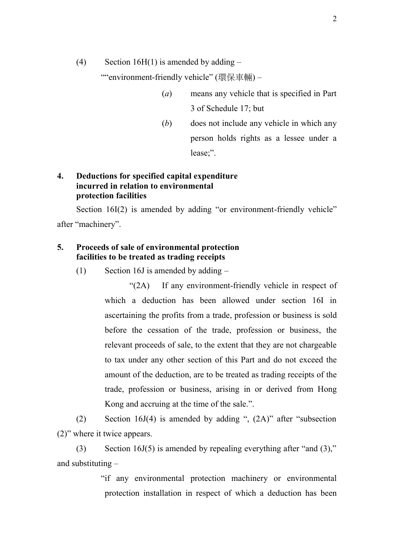(4) Section 16H(1) is amended by adding  $-$ 

""environment-friendly vehicle" (環保車輛) –

- (*a*) means any vehicle that is specified in Part 3 of Schedule 17; but
- (*b*) does not include any vehicle in which any person holds rights as a lessee under a lease;".

#### **4. Deductions for specified capital expenditure incurred in relation to environmental protection facilities**

Section 16I(2) is amended by adding "or environment-friendly vehicle" after "machinery".

#### **5. Proceeds of sale of environmental protection facilities to be treated as trading receipts**

(1) Section 16J is amended by adding –

"(2A) If any environment-friendly vehicle in respect of which a deduction has been allowed under section 16I in ascertaining the profits from a trade, profession or business is sold before the cessation of the trade, profession or business, the relevant proceeds of sale, to the extent that they are not chargeable to tax under any other section of this Part and do not exceed the amount of the deduction, are to be treated as trading receipts of the trade, profession or business, arising in or derived from Hong Kong and accruing at the time of the sale.".

(2) Section 16J(4) is amended by adding ", (2A)" after "subsection (2)" where it twice appears.

(3) Section 16J(5) is amended by repealing everything after "and (3)," and substituting –

> "if any environmental protection machinery or environmental protection installation in respect of which a deduction has been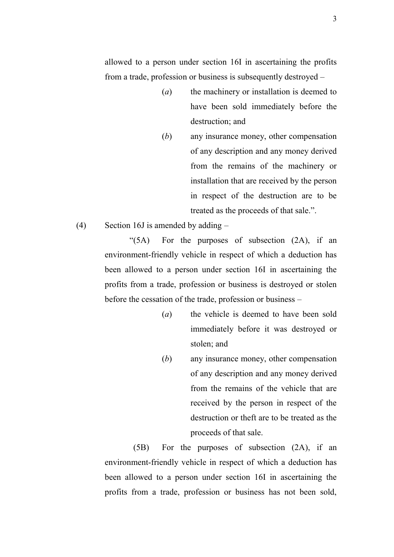allowed to a person under section 16I in ascertaining the profits from a trade, profession or business is subsequently destroyed –

- (*a*) the machinery or installation is deemed to have been sold immediately before the destruction; and
- (*b*) any insurance money, other compensation of any description and any money derived from the remains of the machinery or installation that are received by the person in respect of the destruction are to be treated as the proceeds of that sale.".
- (4) Section 16J is amended by adding –

" $(5A)$  For the purposes of subsection  $(2A)$ , if an environment-friendly vehicle in respect of which a deduction has been allowed to a person under section 16I in ascertaining the profits from a trade, profession or business is destroyed or stolen before the cessation of the trade, profession or business –

- (*a*) the vehicle is deemed to have been sold immediately before it was destroyed or stolen; and
- (*b*) any insurance money, other compensation of any description and any money derived from the remains of the vehicle that are received by the person in respect of the destruction or theft are to be treated as the proceeds of that sale.

(5B) For the purposes of subsection (2A), if an environment-friendly vehicle in respect of which a deduction has been allowed to a person under section 16I in ascertaining the profits from a trade, profession or business has not been sold,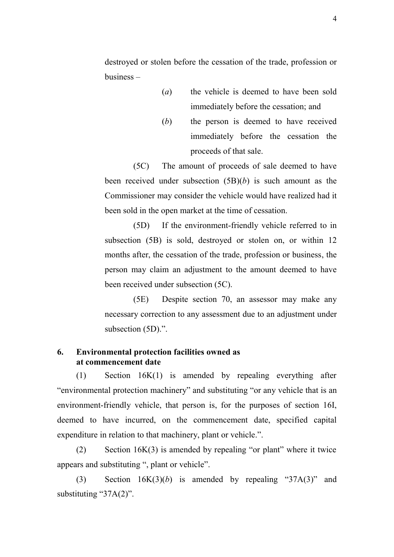destroyed or stolen before the cessation of the trade, profession or business –

- (*a*) the vehicle is deemed to have been sold immediately before the cessation; and
- (*b*) the person is deemed to have received immediately before the cessation the proceeds of that sale.

(5C) The amount of proceeds of sale deemed to have been received under subsection (5B)(*b*) is such amount as the Commissioner may consider the vehicle would have realized had it been sold in the open market at the time of cessation.

(5D) If the environment-friendly vehicle referred to in subsection (5B) is sold, destroyed or stolen on, or within 12 months after, the cessation of the trade, profession or business, the person may claim an adjustment to the amount deemed to have been received under subsection (5C).

(5E) Despite section 70, an assessor may make any necessary correction to any assessment due to an adjustment under subsection (5D).".

#### **6. Environmental protection facilities owned as at commencement date**

(1) Section 16K(1) is amended by repealing everything after "environmental protection machinery" and substituting "or any vehicle that is an environment-friendly vehicle, that person is, for the purposes of section 16I, deemed to have incurred, on the commencement date, specified capital expenditure in relation to that machinery, plant or vehicle.".

(2) Section 16K(3) is amended by repealing "or plant" where it twice appears and substituting ", plant or vehicle".

(3) Section  $16K(3)(b)$  is amended by repealing "37A(3)" and substituting "37A(2)".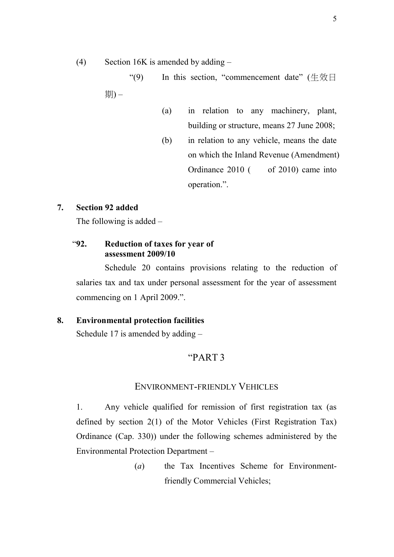(4) Section 16K is amended by adding –

"(9) In this section, "commencement date" ( $\oplus \overline{\otimes} \boxplus$ 期) –

- (a) in relation to any machinery, plant, building or structure, means 27 June 2008;
- (b) in relation to any vehicle, means the date on which the Inland Revenue (Amendment) Ordinance 2010 ( of 2010) came into operation.".

#### **7. Section 92 added**

The following is added –

#### "**92. Reduction of taxes for year of assessment 2009/10**

Schedule 20 contains provisions relating to the reduction of salaries tax and tax under personal assessment for the year of assessment commencing on 1 April 2009.".

#### **8. Environmental protection facilities**

Schedule 17 is amended by adding –

#### "PART 3

#### ENVIRONMENT-FRIENDLY VEHICLES

1. Any vehicle qualified for remission of first registration tax (as defined by section 2(1) of the Motor Vehicles (First Registration Tax) Ordinance (Cap. 330)) under the following schemes administered by the Environmental Protection Department –

> (*a*) the Tax Incentives Scheme for Environmentfriendly Commercial Vehicles;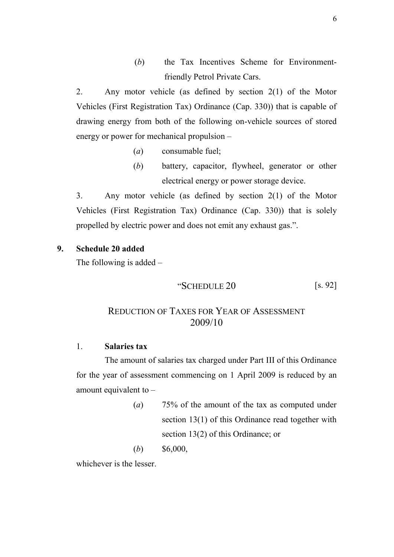(*b*) the Tax Incentives Scheme for Environmentfriendly Petrol Private Cars.

2. Any motor vehicle (as defined by section 2(1) of the Motor Vehicles (First Registration Tax) Ordinance (Cap. 330)) that is capable of drawing energy from both of the following on-vehicle sources of stored energy or power for mechanical propulsion –

- (*a*) consumable fuel;
- (*b*) battery, capacitor, flywheel, generator or other electrical energy or power storage device.

3. Any motor vehicle (as defined by section 2(1) of the Motor Vehicles (First Registration Tax) Ordinance (Cap. 330)) that is solely propelled by electric power and does not emit any exhaust gas.".

#### **9. Schedule 20 added**

The following is added –

$$
\text{``SCHEDULE 20} \qquad \qquad [s. 92]
$$

# REDUCTION OF TAXES FOR YEAR OF ASSESSMENT 2009/10

#### 1. **Salaries tax**

The amount of salaries tax charged under Part III of this Ordinance for the year of assessment commencing on 1 April 2009 is reduced by an amount equivalent to –

- (*a*) 75% of the amount of the tax as computed under section 13(1) of this Ordinance read together with section 13(2) of this Ordinance; or
- $(b)$  \$6,000,

whichever is the lesser.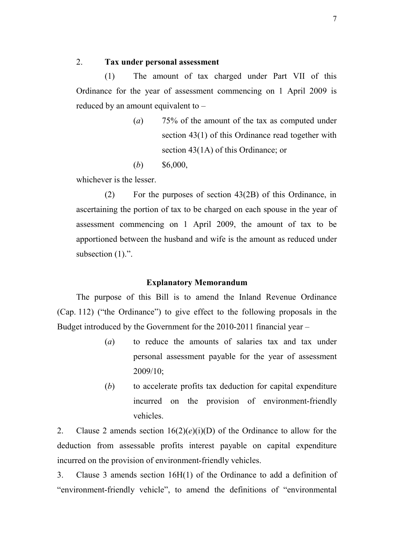#### 2. **Tax under personal assessment**

(1) The amount of tax charged under Part VII of this Ordinance for the year of assessment commencing on 1 April 2009 is reduced by an amount equivalent to –

- (*a*) 75% of the amount of the tax as computed under section 43(1) of this Ordinance read together with section 43(1A) of this Ordinance; or
- $(b)$  \$6,000,

whichever is the lesser.

(2) For the purposes of section 43(2B) of this Ordinance, in ascertaining the portion of tax to be charged on each spouse in the year of assessment commencing on 1 April 2009, the amount of tax to be apportioned between the husband and wife is the amount as reduced under subsection  $(1)$ .".

#### **Explanatory Memorandum**

The purpose of this Bill is to amend the Inland Revenue Ordinance (Cap. 112) ("the Ordinance") to give effect to the following proposals in the Budget introduced by the Government for the 2010-2011 financial year –

- (*a*) to reduce the amounts of salaries tax and tax under personal assessment payable for the year of assessment 2009/10;
- (*b*) to accelerate profits tax deduction for capital expenditure incurred on the provision of environment-friendly vehicles.

2. Clause 2 amends section  $16(2)(e)(i)(D)$  of the Ordinance to allow for the deduction from assessable profits interest payable on capital expenditure incurred on the provision of environment-friendly vehicles.

3. Clause 3 amends section 16H(1) of the Ordinance to add a definition of "environment-friendly vehicle", to amend the definitions of "environmental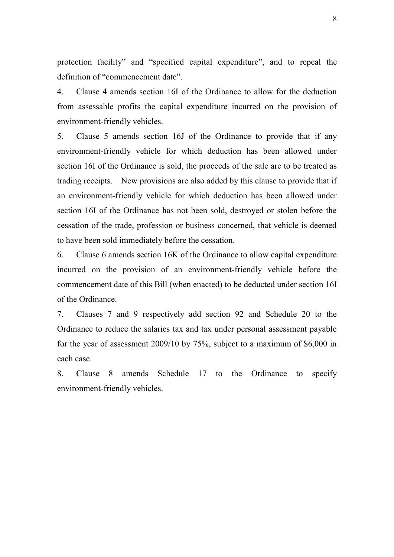protection facility" and "specified capital expenditure", and to repeal the definition of "commencement date".

4. Clause 4 amends section 16I of the Ordinance to allow for the deduction from assessable profits the capital expenditure incurred on the provision of environment-friendly vehicles.

5. Clause 5 amends section 16J of the Ordinance to provide that if any environment-friendly vehicle for which deduction has been allowed under section 16I of the Ordinance is sold, the proceeds of the sale are to be treated as trading receipts. New provisions are also added by this clause to provide that if an environment-friendly vehicle for which deduction has been allowed under section 16I of the Ordinance has not been sold, destroyed or stolen before the cessation of the trade, profession or business concerned, that vehicle is deemed to have been sold immediately before the cessation.

6. Clause 6 amends section 16K of the Ordinance to allow capital expenditure incurred on the provision of an environment-friendly vehicle before the commencement date of this Bill (when enacted) to be deducted under section 16I of the Ordinance.

7. Clauses 7 and 9 respectively add section 92 and Schedule 20 to the Ordinance to reduce the salaries tax and tax under personal assessment payable for the year of assessment 2009/10 by 75%, subject to a maximum of \$6,000 in each case.

8. Clause 8 amends Schedule 17 to the Ordinance to specify environment-friendly vehicles.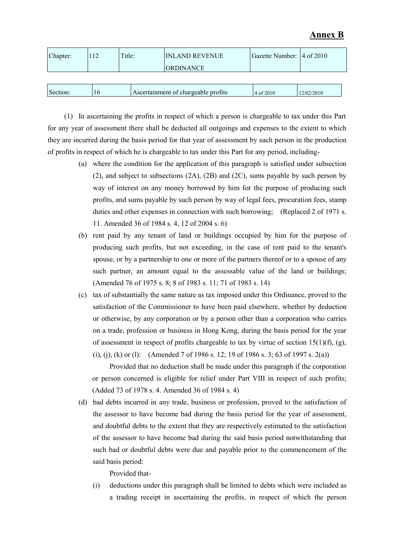### **Annex B**

| Chapter: | 112 | Title: | <b>INLAND REVENUE</b><br><b>ORDINANCE</b> | Gazette Number: 4 of 2010 |            |
|----------|-----|--------|-------------------------------------------|---------------------------|------------|
|          |     |        |                                           |                           |            |
| Section: | 16  |        | Ascertainment of chargeable profits       | 4 of 2010                 | 12/02/2010 |

(1) In ascertaining the profits in respect of which a person is chargeable to tax under this Part for any year of assessment there shall be deducted all outgoings and expenses to the extent to which they are incurred during the basis period for that year of assessment by such person in the production of profits in respect of which he is chargeable to tax under this Part for any period, including-

- (a) where the condition for the application of this paragraph is satisfied under subsection (2), and subject to subsections (2A), (2B) and (2C), sums payable by such person by way of interest on any money borrowed by him for the purpose of producing such profits, and sums payable by such person by way of legal fees, procuration fees, stamp duties and other expenses in connection with such borrowing; (Replaced 2 of 1971 s. 11. Amended 36 of 1984 s. 4, 12 of 2004 s. 6)
- (b) rent paid by any tenant of land or buildings occupied by him for the purpose of producing such profits, but not exceeding, in the case of rent paid to the tenant's spouse, or by a partnership to one or more of the partners thereof or to a spouse of any such partner, an amount equal to the assessable value of the land or buildings; (Amended 76 of 1975 s. 8; 8 of 1983 s. 11; 71 of 1983 s. 14)
- (c) tax of substantially the same nature as tax imposed under this Ordinance, proved to the satisfaction of the Commissioner to have been paid elsewhere, whether by deduction or otherwise, by any corporation or by a person other than a corporation who carries on a trade, profession or business in Hong Kong, during the basis period for the year of assessment in respect of profits chargeable to tax by virtue of section  $15(1)(f)$ , (g), (i), (j), (k) or (l): (Amended 7 of 1986 s. 12; 19 of 1986 s. 3; 63 of 1997 s. 2(a))

Provided that no deduction shall be made under this paragraph if the corporation or person concerned is eligible for relief under Part VIII in respect of such profits; (Added 73 of 1978 s. 4. Amended 36 of 1984 s. 4)

(d) bad debts incurred in any trade, business or profession, proved to the satisfaction of the assessor to have become bad during the basis period for the year of assessment, and doubtful debts to the extent that they are respectively estimated to the satisfaction of the assessor to have become bad during the said basis period notwithstanding that such bad or doubtful debts were due and payable prior to the commencement of the said basis period:

Provided that-

(i) deductions under this paragraph shall be limited to debts which were included as a trading receipt in ascertaining the profits, in respect of which the person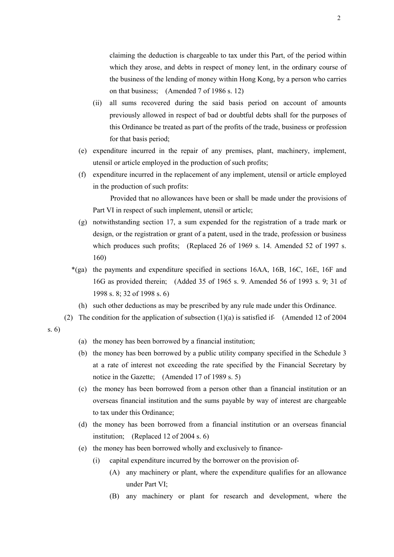claiming the deduction is chargeable to tax under this Part, of the period within which they arose, and debts in respect of money lent, in the ordinary course of the business of the lending of money within Hong Kong, by a person who carries on that business; (Amended 7 of 1986 s. 12)

- (ii) all sums recovered during the said basis period on account of amounts previously allowed in respect of bad or doubtful debts shall for the purposes of this Ordinance be treated as part of the profits of the trade, business or profession for that basis period;
- (e) expenditure incurred in the repair of any premises, plant, machinery, implement, utensil or article employed in the production of such profits;
- (f) expenditure incurred in the replacement of any implement, utensil or article employed in the production of such profits:

Provided that no allowances have been or shall be made under the provisions of Part VI in respect of such implement, utensil or article;

- (g) notwithstanding section 17, a sum expended for the registration of a trade mark or design, or the registration or grant of a patent, used in the trade, profession or business which produces such profits; (Replaced 26 of 1969 s. 14. Amended 52 of 1997 s. 160)
- \*(ga) the payments and expenditure specified in sections 16AA, 16B, 16C, 16E, 16F and 16G as provided therein; (Added 35 of 1965 s. 9. Amended 56 of 1993 s. 9; 31 of 1998 s. 8; 32 of 1998 s. 6)
	- (h) such other deductions as may be prescribed by any rule made under this Ordinance.
- (2) The condition for the application of subsection (1)(a) is satisfied if- (Amended 12 of 2004

s. 6)

- (a) the money has been borrowed by a financial institution;
- (b) the money has been borrowed by a public utility company specified in the Schedule 3 at a rate of interest not exceeding the rate specified by the Financial Secretary by notice in the Gazette; (Amended 17 of 1989 s. 5)
- (c) the money has been borrowed from a person other than a financial institution or an overseas financial institution and the sums payable by way of interest are chargeable to tax under this Ordinance;
- (d) the money has been borrowed from a financial institution or an overseas financial institution; (Replaced 12 of 2004 s. 6)
- (e) the money has been borrowed wholly and exclusively to finance-
	- (i) capital expenditure incurred by the borrower on the provision of-
		- (A) any machinery or plant, where the expenditure qualifies for an allowance under Part VI;
		- (B) any machinery or plant for research and development, where the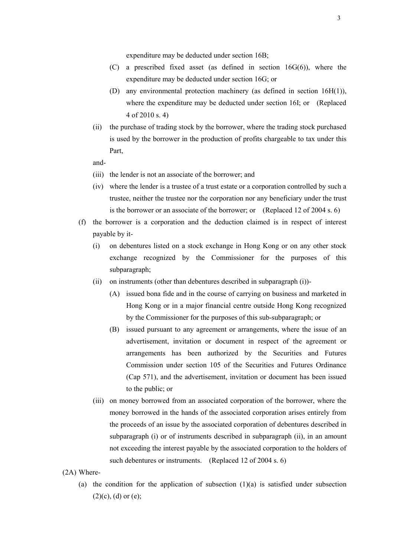expenditure may be deducted under section 16B;

- (C) a prescribed fixed asset (as defined in section 16G(6)), where the expenditure may be deducted under section 16G; or
- (D) any environmental protection machinery (as defined in section 16H(1)), where the expenditure may be deducted under section 16I; or (Replaced 4 of 2010 s. 4)
- (ii) the purchase of trading stock by the borrower, where the trading stock purchased is used by the borrower in the production of profits chargeable to tax under this Part,

and-

- (iii) the lender is not an associate of the borrower; and
- (iv) where the lender is a trustee of a trust estate or a corporation controlled by such a trustee, neither the trustee nor the corporation nor any beneficiary under the trust is the borrower or an associate of the borrower; or (Replaced 12 of 2004 s. 6)
- (f) the borrower is a corporation and the deduction claimed is in respect of interest payable by it-
	- (i) on debentures listed on a stock exchange in Hong Kong or on any other stock exchange recognized by the Commissioner for the purposes of this subparagraph;
	- (ii) on instruments (other than debentures described in subparagraph (i))-
		- (A) issued bona fide and in the course of carrying on business and marketed in Hong Kong or in a major financial centre outside Hong Kong recognized by the Commissioner for the purposes of this sub-subparagraph; or
		- (B) issued pursuant to any agreement or arrangements, where the issue of an advertisement, invitation or document in respect of the agreement or arrangements has been authorized by the Securities and Futures Commission under section 105 of the Securities and Futures Ordinance (Cap 571), and the advertisement, invitation or document has been issued to the public; or
	- (iii) on money borrowed from an associated corporation of the borrower, where the money borrowed in the hands of the associated corporation arises entirely from the proceeds of an issue by the associated corporation of debentures described in subparagraph (i) or of instruments described in subparagraph (ii), in an amount not exceeding the interest payable by the associated corporation to the holders of such debentures or instruments. (Replaced 12 of 2004 s. 6)

(2A) Where-

(a) the condition for the application of subsection  $(1)(a)$  is satisfied under subsection  $(2)(c)$ ,  $(d)$  or  $(e)$ ;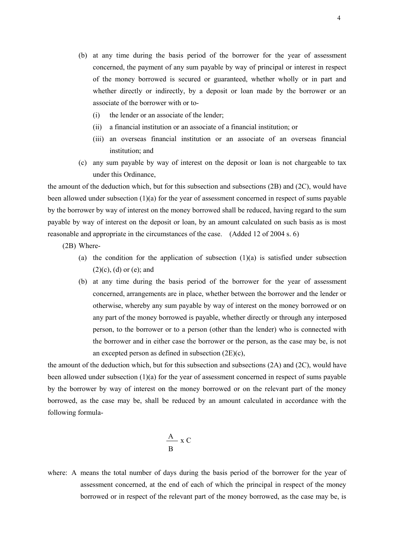- (b) at any time during the basis period of the borrower for the year of assessment concerned, the payment of any sum payable by way of principal or interest in respect of the money borrowed is secured or guaranteed, whether wholly or in part and whether directly or indirectly, by a deposit or loan made by the borrower or an associate of the borrower with or to-
	- (i) the lender or an associate of the lender;
	- (ii) a financial institution or an associate of a financial institution; or
	- (iii) an overseas financial institution or an associate of an overseas financial institution; and
- (c) any sum payable by way of interest on the deposit or loan is not chargeable to tax under this Ordinance,

the amount of the deduction which, but for this subsection and subsections (2B) and (2C), would have been allowed under subsection (1)(a) for the year of assessment concerned in respect of sums payable by the borrower by way of interest on the money borrowed shall be reduced, having regard to the sum payable by way of interest on the deposit or loan, by an amount calculated on such basis as is most reasonable and appropriate in the circumstances of the case. (Added 12 of 2004 s. 6)

- (2B) Where-
	- (a) the condition for the application of subsection  $(1)(a)$  is satisfied under subsection  $(2)(c)$ ,  $(d)$  or  $(e)$ ; and
	- (b) at any time during the basis period of the borrower for the year of assessment concerned, arrangements are in place, whether between the borrower and the lender or otherwise, whereby any sum payable by way of interest on the money borrowed or on any part of the money borrowed is payable, whether directly or through any interposed person, to the borrower or to a person (other than the lender) who is connected with the borrower and in either case the borrower or the person, as the case may be, is not an excepted person as defined in subsection (2E)(c),

the amount of the deduction which, but for this subsection and subsections (2A) and (2C), would have been allowed under subsection (1)(a) for the year of assessment concerned in respect of sums payable by the borrower by way of interest on the money borrowed or on the relevant part of the money borrowed, as the case may be, shall be reduced by an amount calculated in accordance with the following formula-

$$
\frac{A}{B} \times C
$$

where: A means the total number of days during the basis period of the borrower for the year of assessment concerned, at the end of each of which the principal in respect of the money borrowed or in respect of the relevant part of the money borrowed, as the case may be, is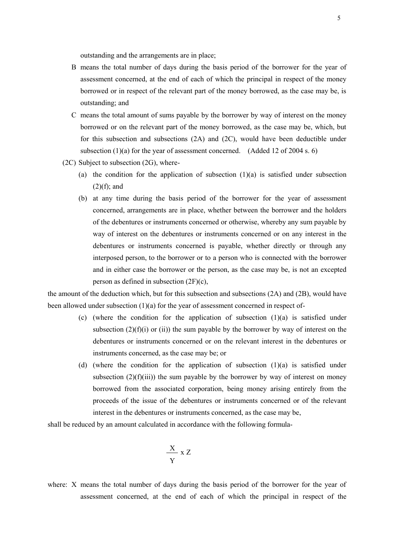outstanding and the arrangements are in place;

- B means the total number of days during the basis period of the borrower for the year of assessment concerned, at the end of each of which the principal in respect of the money borrowed or in respect of the relevant part of the money borrowed, as the case may be, is outstanding; and
- C means the total amount of sums payable by the borrower by way of interest on the money borrowed or on the relevant part of the money borrowed, as the case may be, which, but for this subsection and subsections (2A) and (2C), would have been deductible under subsection  $(1)(a)$  for the year of assessment concerned. (Added 12 of 2004 s. 6)
- (2C) Subject to subsection (2G), where-
	- (a) the condition for the application of subsection  $(1)(a)$  is satisfied under subsection  $(2)(f)$ ; and
	- (b) at any time during the basis period of the borrower for the year of assessment concerned, arrangements are in place, whether between the borrower and the holders of the debentures or instruments concerned or otherwise, whereby any sum payable by way of interest on the debentures or instruments concerned or on any interest in the debentures or instruments concerned is payable, whether directly or through any interposed person, to the borrower or to a person who is connected with the borrower and in either case the borrower or the person, as the case may be, is not an excepted person as defined in subsection (2F)(c),

the amount of the deduction which, but for this subsection and subsections (2A) and (2B), would have been allowed under subsection  $(1)(a)$  for the year of assessment concerned in respect of-

- (c) (where the condition for the application of subsection (1)(a) is satisfied under subsection  $(2)(f)(i)$  or  $(ii)$ ) the sum payable by the borrower by way of interest on the debentures or instruments concerned or on the relevant interest in the debentures or instruments concerned, as the case may be; or
- (d) (where the condition for the application of subsection (1)(a) is satisfied under subsection  $(2)(f)(iii)$ ) the sum payable by the borrower by way of interest on money borrowed from the associated corporation, being money arising entirely from the proceeds of the issue of the debentures or instruments concerned or of the relevant interest in the debentures or instruments concerned, as the case may be,

shall be reduced by an amount calculated in accordance with the following formula-

$$
\frac{X}{Y} \ge Z
$$

where: X means the total number of days during the basis period of the borrower for the year of assessment concerned, at the end of each of which the principal in respect of the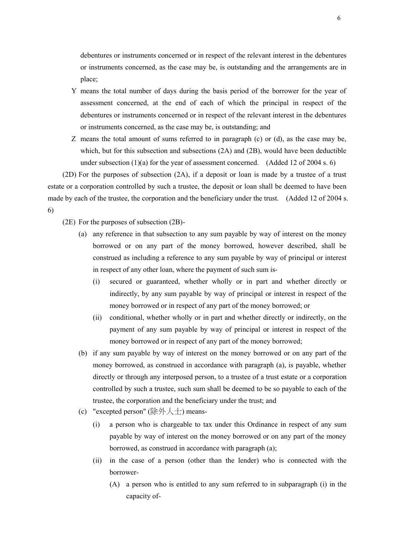debentures or instruments concerned or in respect of the relevant interest in the debentures or instruments concerned, as the case may be, is outstanding and the arrangements are in place;

- Y means the total number of days during the basis period of the borrower for the year of assessment concerned, at the end of each of which the principal in respect of the debentures or instruments concerned or in respect of the relevant interest in the debentures or instruments concerned, as the case may be, is outstanding; and
- Z means the total amount of sums referred to in paragraph (c) or (d), as the case may be, which, but for this subsection and subsections (2A) and (2B), would have been deductible under subsection  $(1)(a)$  for the year of assessment concerned. (Added 12 of 2004 s. 6)

 $(2D)$  For the purposes of subsection  $(2A)$ , if a deposit or loan is made by a trustee of a trust estate or a corporation controlled by such a trustee, the deposit or loan shall be deemed to have been made by each of the trustee, the corporation and the beneficiary under the trust. (Added 12 of 2004 s. 6)

(2E) For the purposes of subsection (2B)-

- (a) any reference in that subsection to any sum payable by way of interest on the money borrowed or on any part of the money borrowed, however described, shall be construed as including a reference to any sum payable by way of principal or interest in respect of any other loan, where the payment of such sum is-
	- (i) secured or guaranteed, whether wholly or in part and whether directly or indirectly, by any sum payable by way of principal or interest in respect of the money borrowed or in respect of any part of the money borrowed; or
	- (ii) conditional, whether wholly or in part and whether directly or indirectly, on the payment of any sum payable by way of principal or interest in respect of the money borrowed or in respect of any part of the money borrowed;
- (b) if any sum payable by way of interest on the money borrowed or on any part of the money borrowed, as construed in accordance with paragraph (a), is payable, whether directly or through any interposed person, to a trustee of a trust estate or a corporation controlled by such a trustee, such sum shall be deemed to be so payable to each of the trustee, the corporation and the beneficiary under the trust; and
- (c) "excepted person" (除外人士) means-
	- (i) a person who is chargeable to tax under this Ordinance in respect of any sum payable by way of interest on the money borrowed or on any part of the money borrowed, as construed in accordance with paragraph (a);
	- (ii) in the case of a person (other than the lender) who is connected with the borrower-
		- (A) a person who is entitled to any sum referred to in subparagraph (i) in the capacity of-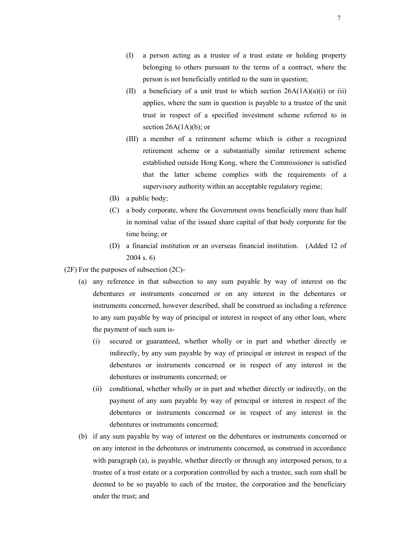- (I) a person acting as a trustee of a trust estate or holding property belonging to others pursuant to the terms of a contract, where the person is not beneficially entitled to the sum in question;
- (II) a beneficiary of a unit trust to which section  $26A(1A)(a)(i)$  or (ii) applies, where the sum in question is payable to a trustee of the unit trust in respect of a specified investment scheme referred to in section  $26A(1A)(b)$ ; or
- (III) a member of a retirement scheme which is either a recognized retirement scheme or a substantially similar retirement scheme established outside Hong Kong, where the Commissioner is satisfied that the latter scheme complies with the requirements of a supervisory authority within an acceptable regulatory regime;
- (B) a public body;
- (C) a body corporate, where the Government owns beneficially more than half in nominal value of the issued share capital of that body corporate for the time being; or
- (D) a financial institution or an overseas financial institution. (Added 12 of 2004 s. 6)
- (2F) For the purposes of subsection (2C)-
	- (a) any reference in that subsection to any sum payable by way of interest on the debentures or instruments concerned or on any interest in the debentures or instruments concerned, however described, shall be construed as including a reference to any sum payable by way of principal or interest in respect of any other loan, where the payment of such sum is-
		- (i) secured or guaranteed, whether wholly or in part and whether directly or indirectly, by any sum payable by way of principal or interest in respect of the debentures or instruments concerned or in respect of any interest in the debentures or instruments concerned; or
		- (ii) conditional, whether wholly or in part and whether directly or indirectly, on the payment of any sum payable by way of principal or interest in respect of the debentures or instruments concerned or in respect of any interest in the debentures or instruments concerned;
	- (b) if any sum payable by way of interest on the debentures or instruments concerned or on any interest in the debentures or instruments concerned, as construed in accordance with paragraph (a), is payable, whether directly or through any interposed person, to a trustee of a trust estate or a corporation controlled by such a trustee, such sum shall be deemed to be so payable to each of the trustee, the corporation and the beneficiary under the trust; and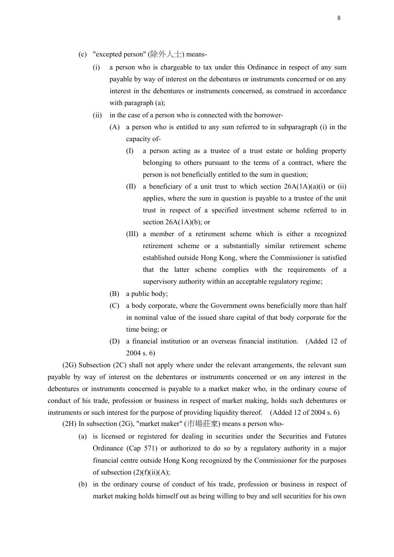- (c) "excepted person" (除外人士) means-
	- (i) a person who is chargeable to tax under this Ordinance in respect of any sum payable by way of interest on the debentures or instruments concerned or on any interest in the debentures or instruments concerned, as construed in accordance with paragraph (a);
	- (ii) in the case of a person who is connected with the borrower-
		- (A) a person who is entitled to any sum referred to in subparagraph (i) in the capacity of-
			- (I) a person acting as a trustee of a trust estate or holding property belonging to others pursuant to the terms of a contract, where the person is not beneficially entitled to the sum in question;
			- (II) a beneficiary of a unit trust to which section  $26A(1A)(a)(i)$  or (ii) applies, where the sum in question is payable to a trustee of the unit trust in respect of a specified investment scheme referred to in section  $26A(1A)(b)$ ; or
			- (III) a member of a retirement scheme which is either a recognized retirement scheme or a substantially similar retirement scheme established outside Hong Kong, where the Commissioner is satisfied that the latter scheme complies with the requirements of a supervisory authority within an acceptable regulatory regime;
		- (B) a public body;
		- (C) a body corporate, where the Government owns beneficially more than half in nominal value of the issued share capital of that body corporate for the time being; or
		- (D) a financial institution or an overseas financial institution. (Added 12 of 2004 s. 6)

(2G) Subsection (2C) shall not apply where under the relevant arrangements, the relevant sum payable by way of interest on the debentures or instruments concerned or on any interest in the debentures or instruments concerned is payable to a market maker who, in the ordinary course of conduct of his trade, profession or business in respect of market making, holds such debentures or instruments or such interest for the purpose of providing liquidity thereof. (Added 12 of 2004 s. 6)

(2H) In subsection (2G), "market maker" (市場莊家) means a person who-

- (a) is licensed or registered for dealing in securities under the Securities and Futures Ordinance (Cap 571) or authorized to do so by a regulatory authority in a major financial centre outside Hong Kong recognized by the Commissioner for the purposes of subsection  $(2)(f)(ii)(A);$
- (b) in the ordinary course of conduct of his trade, profession or business in respect of market making holds himself out as being willing to buy and sell securities for his own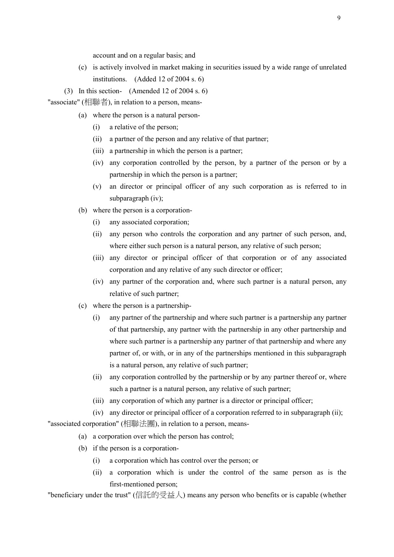account and on a regular basis; and

(c) is actively involved in market making in securities issued by a wide range of unrelated institutions. (Added 12 of 2004 s. 6)

(3) In this section- (Amended 12 of 2004 s. 6)

"associate" (相聯者), in relation to a person, means-

- (a) where the person is a natural person-
	- (i) a relative of the person;
	- (ii) a partner of the person and any relative of that partner;
	- (iii) a partnership in which the person is a partner;
	- (iv) any corporation controlled by the person, by a partner of the person or by a partnership in which the person is a partner;
	- (v) an director or principal officer of any such corporation as is referred to in subparagraph (iv);
- (b) where the person is a corporation-
	- (i) any associated corporation;
	- (ii) any person who controls the corporation and any partner of such person, and, where either such person is a natural person, any relative of such person;
	- (iii) any director or principal officer of that corporation or of any associated corporation and any relative of any such director or officer;
	- (iv) any partner of the corporation and, where such partner is a natural person, any relative of such partner;
- (c) where the person is a partnership-
	- (i) any partner of the partnership and where such partner is a partnership any partner of that partnership, any partner with the partnership in any other partnership and where such partner is a partnership any partner of that partnership and where any partner of, or with, or in any of the partnerships mentioned in this subparagraph is a natural person, any relative of such partner;
	- (ii) any corporation controlled by the partnership or by any partner thereof or, where such a partner is a natural person, any relative of such partner;
	- (iii) any corporation of which any partner is a director or principal officer;
- (iv) any director or principal officer of a corporation referred to in subparagraph (ii); "associated corporation" (相聯法團), in relation to a person, means-
	- (a) a corporation over which the person has control;
	- (b) if the person is a corporation-
		- (i) a corporation which has control over the person; or
		- (ii) a corporation which is under the control of the same person as is the first-mentioned person;

"beneficiary under the trust" (信託的受益人) means any person who benefits or is capable (whether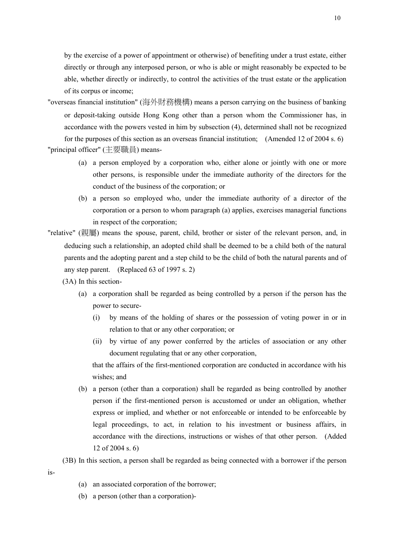by the exercise of a power of appointment or otherwise) of benefiting under a trust estate, either directly or through any interposed person, or who is able or might reasonably be expected to be able, whether directly or indirectly, to control the activities of the trust estate or the application of its corpus or income;

"overseas financial institution" (海外財務機構) means a person carrying on the business of banking or deposit-taking outside Hong Kong other than a person whom the Commissioner has, in accordance with the powers vested in him by subsection (4), determined shall not be recognized for the purposes of this section as an overseas financial institution; (Amended 12 of 2004 s. 6)

"principal officer" (主要職員) means-

- (a) a person employed by a corporation who, either alone or jointly with one or more other persons, is responsible under the immediate authority of the directors for the conduct of the business of the corporation; or
- (b) a person so employed who, under the immediate authority of a director of the corporation or a person to whom paragraph (a) applies, exercises managerial functions in respect of the corporation;
- "relative" (親屬) means the spouse, parent, child, brother or sister of the relevant person, and, in deducing such a relationship, an adopted child shall be deemed to be a child both of the natural parents and the adopting parent and a step child to be the child of both the natural parents and of any step parent. (Replaced 63 of 1997 s. 2)
	- (3A) In this section-
		- (a) a corporation shall be regarded as being controlled by a person if the person has the power to secure-
			- (i) by means of the holding of shares or the possession of voting power in or in relation to that or any other corporation; or
			- (ii) by virtue of any power conferred by the articles of association or any other document regulating that or any other corporation,

that the affairs of the first-mentioned corporation are conducted in accordance with his wishes; and

(b) a person (other than a corporation) shall be regarded as being controlled by another person if the first-mentioned person is accustomed or under an obligation, whether express or implied, and whether or not enforceable or intended to be enforceable by legal proceedings, to act, in relation to his investment or business affairs, in accordance with the directions, instructions or wishes of that other person. (Added 12 of 2004 s. 6)

(3B) In this section, a person shall be regarded as being connected with a borrower if the person

is-

- (a) an associated corporation of the borrower;
- (b) a person (other than a corporation)-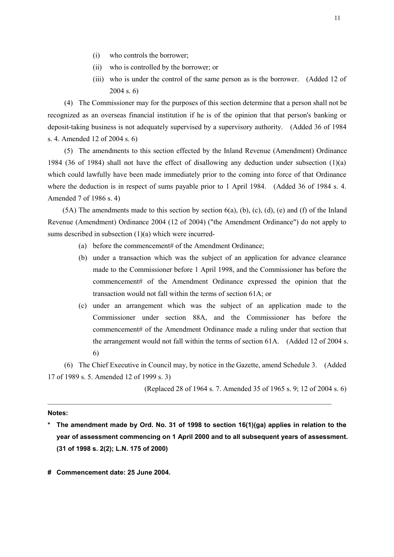- (i) who controls the borrower;
- (ii) who is controlled by the borrower; or
- (iii) who is under the control of the same person as is the borrower. (Added 12 of 2004 s. 6)

(4) The Commissioner may for the purposes of this section determine that a person shall not be recognized as an overseas financial institution if he is of the opinion that that person's banking or deposit-taking business is not adequately supervised by a supervisory authority. (Added 36 of 1984 s. 4. Amended 12 of 2004 s. 6)

(5) The amendments to this section effected by the Inland Revenue (Amendment) Ordinance 1984 (36 of 1984) shall not have the effect of disallowing any deduction under subsection (1)(a) which could lawfully have been made immediately prior to the coming into force of that Ordinance where the deduction is in respect of sums payable prior to 1 April 1984. (Added 36 of 1984 s. 4. Amended 7 of 1986 s. 4)

 $(5A)$  The amendments made to this section by section  $6(a)$ ,  $(b)$ ,  $(c)$ ,  $(d)$ ,  $(e)$  and  $(f)$  of the Inland Revenue (Amendment) Ordinance 2004 (12 of 2004) ("the Amendment Ordinance") do not apply to sums described in subsection (1)(a) which were incurred-

- (a) before the commencement# of the Amendment Ordinance;
- (b) under a transaction which was the subject of an application for advance clearance made to the Commissioner before 1 April 1998, and the Commissioner has before the commencement# of the Amendment Ordinance expressed the opinion that the transaction would not fall within the terms of section 61A; or
- (c) under an arrangement which was the subject of an application made to the Commissioner under section 88A, and the Commissioner has before the commencement# of the Amendment Ordinance made a ruling under that section that the arrangement would not fall within the terms of section 61A. (Added 12 of 2004 s. 6)

(6) The Chief Executive in Council may, by notice in the Gazette, amend Schedule 3. (Added 17 of 1989 s. 5. Amended 12 of 1999 s. 3)

 $\mathcal{L}_\mathcal{L} = \{ \mathcal{L}_\mathcal{L} = \{ \mathcal{L}_\mathcal{L} = \{ \mathcal{L}_\mathcal{L} = \{ \mathcal{L}_\mathcal{L} = \{ \mathcal{L}_\mathcal{L} = \{ \mathcal{L}_\mathcal{L} = \{ \mathcal{L}_\mathcal{L} = \{ \mathcal{L}_\mathcal{L} = \{ \mathcal{L}_\mathcal{L} = \{ \mathcal{L}_\mathcal{L} = \{ \mathcal{L}_\mathcal{L} = \{ \mathcal{L}_\mathcal{L} = \{ \mathcal{L}_\mathcal{L} = \{ \mathcal{L}_\mathcal{$ 

(Replaced 28 of 1964 s. 7. Amended 35 of 1965 s. 9; 12 of 2004 s. 6)

#### **Notes:**

- **\* The amendment made by Ord. No. 31 of 1998 to section 16(1)(ga) applies in relation to the year of assessment commencing on 1 April 2000 and to all subsequent years of assessment. (31 of 1998 s. 2(2); L.N. 175 of 2000)**
- **# Commencement date: 25 June 2004.**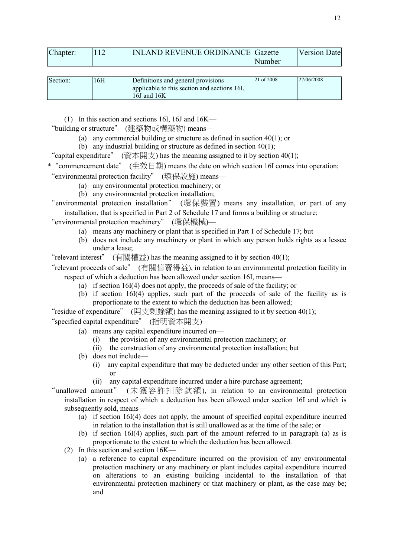| Chapter: | <b>INLAND REVENUE ORDINANCE Gazette</b> |               | Version Datel |
|----------|-----------------------------------------|---------------|---------------|
|          |                                         | <i>Number</i> |               |

| Section: | 16H | Definitions and general provisions           | 21 of 2008 | 27/06/2008 |
|----------|-----|----------------------------------------------|------------|------------|
|          |     | applicable to this section and sections 16I. |            |            |
|          |     | 16J and 16K                                  |            |            |

(1) In this section and sections 16I, 16J and 16K—

"building or structure" (建築物或構築物) means—

- (a) any commercial building or structure as defined in section 40(1); or
- (b) any industrial building or structure as defined in section 40(1);

"capital expenditure" (資本開支) has the meaning assigned to it by section 40(1);

\*"commencement date" (生效日期) means the date on which section 16I comes into operation;

"environmental protection facility" (環保設施) means—

- (a) any environmental protection machinery; or
- (b) any environmental protection installation;

"environmental protection installation" (環保裝置) means any installation, or part of any installation, that is specified in Part 2 of Schedule 17 and forms a building or structure;

"environmental protection machinery" (環保機械)—

- (a) means any machinery or plant that is specified in Part 1 of Schedule 17; but
- (b) does not include any machinery or plant in which any person holds rights as a lessee under a lease;

"relevant interest" (有關權益) has the meaning assigned to it by section 40(1);

"relevant proceeds of sale" (有關售賣得益), in relation to an environmental protection facility in respect of which a deduction has been allowed under section 16I, means—

- (a) if section 16I(4) does not apply, the proceeds of sale of the facility; or
- (b) if section 16I(4) applies, such part of the proceeds of sale of the facility as is proportionate to the extent to which the deduction has been allowed;

"residue of expenditure" (開支剩餘額) has the meaning assigned to it by section 40(1);

"specified capital expenditure" (指明資本開支)—

- (a) means any capital expenditure incurred on—
	- (i) the provision of any environmental protection machinery; or
	- (ii) the construction of any environmental protection installation; but
- (b) does not include—
	- (i) any capital expenditure that may be deducted under any other section of this Part; or
	- (ii) any capital expenditure incurred under a hire-purchase agreement;

"unallowed amount" (未獲容許扣除款額), in relation to an environmental protection installation in respect of which a deduction has been allowed under section 16I and which is subsequently sold, means—

- (a) if section 16I(4) does not apply, the amount of specified capital expenditure incurred in relation to the installation that is still unallowed as at the time of the sale; or
- (b) if section 16I(4) applies, such part of the amount referred to in paragraph (a) as is proportionate to the extent to which the deduction has been allowed.
- (2) In this section and section 16K—
	- (a) a reference to capital expenditure incurred on the provision of any environmental protection machinery or any machinery or plant includes capital expenditure incurred on alterations to an existing building incidental to the installation of that environmental protection machinery or that machinery or plant, as the case may be; and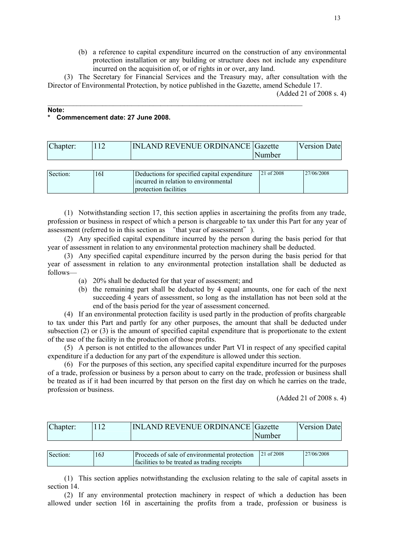(b) a reference to capital expenditure incurred on the construction of any environmental protection installation or any building or structure does not include any expenditure incurred on the acquisition of, or of rights in or over, any land.

(3) The Secretary for Financial Services and the Treasury may, after consultation with the Director of Environmental Protection, by notice published in the Gazette, amend Schedule 17.

(Added 21 of 2008 s. 4)

#### $\mathcal{L}_\text{max} = \frac{1}{2} \sum_{i=1}^n \mathcal{L}_\text{max}(\mathbf{x}_i - \mathbf{y}_i)$ **Note:**

#### **\* Commencement date: 27 June 2008.**

| Chapter: | 112 <sup>7</sup> | <b>INLAND REVENUE ORDINANCE Gazette</b>                                                                        |            | <b>Version Datel</b> |
|----------|------------------|----------------------------------------------------------------------------------------------------------------|------------|----------------------|
|          |                  |                                                                                                                | Number     |                      |
|          |                  |                                                                                                                |            |                      |
| Section: | 16I              | Deductions for specified capital expenditure<br>incurred in relation to environmental<br>protection facilities | 21 of 2008 | 27/06/2008           |

(1) Notwithstanding section 17, this section applies in ascertaining the profits from any trade, profession or business in respect of which a person is chargeable to tax under this Part for any year of assessment (referred to in this section as "that year of assessment").

(2) Any specified capital expenditure incurred by the person during the basis period for that year of assessment in relation to any environmental protection machinery shall be deducted.

(3) Any specified capital expenditure incurred by the person during the basis period for that year of assessment in relation to any environmental protection installation shall be deducted as follows—

- (a) 20% shall be deducted for that year of assessment; and
- (b) the remaining part shall be deducted by 4 equal amounts, one for each of the next succeeding 4 years of assessment, so long as the installation has not been sold at the end of the basis period for the year of assessment concerned.

(4) If an environmental protection facility is used partly in the production of profits chargeable to tax under this Part and partly for any other purposes, the amount that shall be deducted under subsection (2) or (3) is the amount of specified capital expenditure that is proportionate to the extent of the use of the facility in the production of those profits.

(5) A person is not entitled to the allowances under Part VI in respect of any specified capital expenditure if a deduction for any part of the expenditure is allowed under this section.

(6) For the purposes of this section, any specified capital expenditure incurred for the purposes of a trade, profession or business by a person about to carry on the trade, profession or business shall be treated as if it had been incurred by that person on the first day on which he carries on the trade, profession or business.

(Added 21 of 2008 s. 4)

| Chapter: | <b>INLAND REVENUE ORDINANCE Gazette</b> |         | Version Datel |
|----------|-----------------------------------------|---------|---------------|
|          |                                         | ⊥Number |               |

| Section: | 16 <sub>J</sub> | Proceeds of sale of environmental protection | $121$ of 2008 | 27/06/2008 |
|----------|-----------------|----------------------------------------------|---------------|------------|
|          |                 | facilities to be treated as trading receipts |               |            |

(1) This section applies notwithstanding the exclusion relating to the sale of capital assets in section 14.

(2) If any environmental protection machinery in respect of which a deduction has been allowed under section 16I in ascertaining the profits from a trade, profession or business is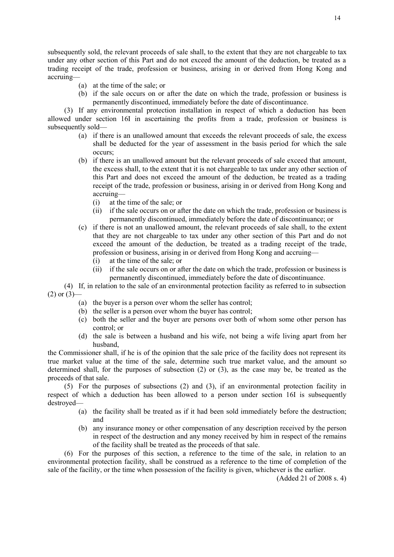subsequently sold, the relevant proceeds of sale shall, to the extent that they are not chargeable to tax under any other section of this Part and do not exceed the amount of the deduction, be treated as a trading receipt of the trade, profession or business, arising in or derived from Hong Kong and accruing—

- (a) at the time of the sale; or
- (b) if the sale occurs on or after the date on which the trade, profession or business is permanently discontinued, immediately before the date of discontinuance.

(3) If any environmental protection installation in respect of which a deduction has been allowed under section 16I in ascertaining the profits from a trade, profession or business is subsequently sold—

- (a) if there is an unallowed amount that exceeds the relevant proceeds of sale, the excess shall be deducted for the year of assessment in the basis period for which the sale occurs;
- (b) if there is an unallowed amount but the relevant proceeds of sale exceed that amount, the excess shall, to the extent that it is not chargeable to tax under any other section of this Part and does not exceed the amount of the deduction, be treated as a trading receipt of the trade, profession or business, arising in or derived from Hong Kong and accruing—
	- (i) at the time of the sale; or
	- (ii) if the sale occurs on or after the date on which the trade, profession or business is permanently discontinued, immediately before the date of discontinuance; or
- (c) if there is not an unallowed amount, the relevant proceeds of sale shall, to the extent that they are not chargeable to tax under any other section of this Part and do not exceed the amount of the deduction, be treated as a trading receipt of the trade, profession or business, arising in or derived from Hong Kong and accruing—
	- (i) at the time of the sale; or
	- (ii) if the sale occurs on or after the date on which the trade, profession or business is permanently discontinued, immediately before the date of discontinuance.

(4) If, in relation to the sale of an environmental protection facility as referred to in subsection  $(2)$  or  $(3)$ —

- (a) the buyer is a person over whom the seller has control;
- (b) the seller is a person over whom the buyer has control;
- (c) both the seller and the buyer are persons over both of whom some other person has control; or
- (d) the sale is between a husband and his wife, not being a wife living apart from her husband,

the Commissioner shall, if he is of the opinion that the sale price of the facility does not represent its true market value at the time of the sale, determine such true market value, and the amount so determined shall, for the purposes of subsection (2) or (3), as the case may be, be treated as the proceeds of that sale.

(5) For the purposes of subsections (2) and (3), if an environmental protection facility in respect of which a deduction has been allowed to a person under section 16I is subsequently destroyed—

- (a) the facility shall be treated as if it had been sold immediately before the destruction; and
- (b) any insurance money or other compensation of any description received by the person in respect of the destruction and any money received by him in respect of the remains of the facility shall be treated as the proceeds of that sale.

(6) For the purposes of this section, a reference to the time of the sale, in relation to an environmental protection facility, shall be construed as a reference to the time of completion of the sale of the facility, or the time when possession of the facility is given, whichever is the earlier.

(Added 21 of 2008 s. 4)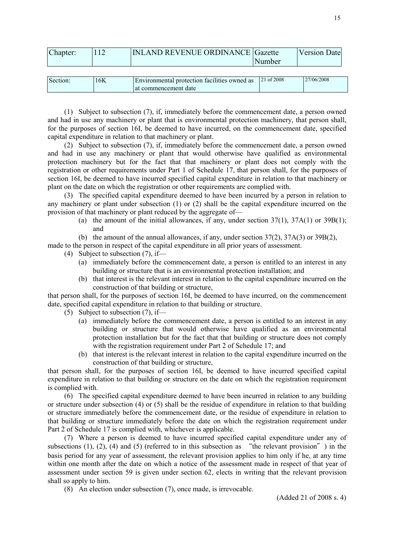| Chapter: | <b>INLAND REVENUE ORDINANCE Gazette</b> |        | <b>Version Date</b> |
|----------|-----------------------------------------|--------|---------------------|
|          |                                         | Number |                     |
|          |                                         |        |                     |

| Section: | ОK | Environmental protection facilities owned as<br>at commencement date | 21 of 2008 | 27/06/2008 |
|----------|----|----------------------------------------------------------------------|------------|------------|
|          |    |                                                                      |            |            |

(1) Subject to subsection (7), if, immediately before the commencement date, a person owned and had in use any machinery or plant that is environmental protection machinery, that person shall, for the purposes of section 16I, be deemed to have incurred, on the commencement date, specified capital expenditure in relation to that machinery or plant.

(2) Subject to subsection (7), if, immediately before the commencement date, a person owned and had in use any machinery or plant that would otherwise have qualified as environmental protection machinery but for the fact that that machinery or plant does not comply with the registration or other requirements under Part 1 of Schedule 17, that person shall, for the purposes of section 16I, be deemed to have incurred specified capital expenditure in relation to that machinery or plant on the date on which the registration or other requirements are complied with.

(3) The specified capital expenditure deemed to have been incurred by a person in relation to any machinery or plant under subsection (1) or (2) shall be the capital expenditure incurred on the provision of that machinery or plant reduced by the aggregate of—

- (a) the amount of the initial allowances, if any, under section  $37(1)$ ,  $37A(1)$  or  $39B(1)$ ; and
- (b) the amount of the annual allowances, if any, under section  $37(2)$ ,  $37A(3)$  or  $39B(2)$ ,

made to the person in respect of the capital expenditure in all prior years of assessment.

- (4) Subject to subsection (7), if—
	- (a) immediately before the commencement date, a person is entitled to an interest in any building or structure that is an environmental protection installation; and
	- (b) that interest is the relevant interest in relation to the capital expenditure incurred on the construction of that building or structure,

that person shall, for the purposes of section 16I, be deemed to have incurred, on the commencement date, specified capital expenditure in relation to that building or structure.

- (5) Subject to subsection (7), if—
	- (a) immediately before the commencement date, a person is entitled to an interest in any building or structure that would otherwise have qualified as an environmental protection installation but for the fact that that building or structure does not comply with the registration requirement under Part 2 of Schedule 17; and
	- (b) that interest is the relevant interest in relation to the capital expenditure incurred on the construction of that building or structure,

that person shall, for the purposes of section 16I, be deemed to have incurred specified capital expenditure in relation to that building or structure on the date on which the registration requirement is complied with.

(6) The specified capital expenditure deemed to have been incurred in relation to any building or structure under subsection (4) or (5) shall be the residue of expenditure in relation to that building or structure immediately before the commencement date, or the residue of expenditure in relation to that building or structure immediately before the date on which the registration requirement under Part 2 of Schedule 17 is complied with, whichever is applicable.

(7) Where a person is deemed to have incurred specified capital expenditure under any of subsections  $(1)$ ,  $(2)$ ,  $(4)$  and  $(5)$  (referred to in this subsection as "the relevant provision") in the basis period for any year of assessment, the relevant provision applies to him only if he, at any time within one month after the date on which a notice of the assessment made in respect of that year of assessment under section 59 is given under section 62, elects in writing that the relevant provision shall so apply to him.

(8) An election under subsection (7), once made, is irrevocable.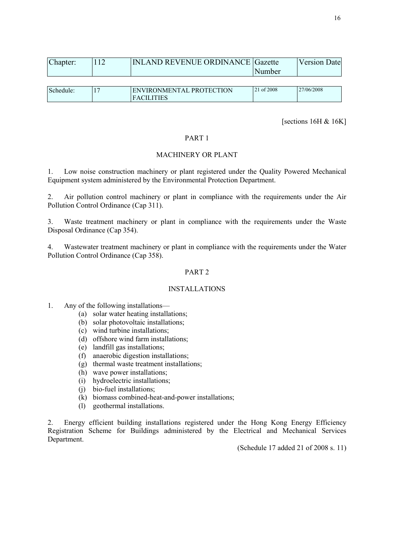| Chapter:  | 112 | <b>INLAND REVENUE ORDINANCE Gazette</b> | Number     | <b>Version Date</b> |
|-----------|-----|-----------------------------------------|------------|---------------------|
|           |     |                                         |            |                     |
| Schedule: |     | ENVIRONMENTAL PROTECTION                | 21 of 2008 | 27/06/2008          |
|           |     | <b>FACILITIES</b>                       |            |                     |

[sections 16H & 16K]

#### PART 1

#### MACHINERY OR PLANT

1. Low noise construction machinery or plant registered under the Quality Powered Mechanical Equipment system administered by the Environmental Protection Department.

2. Air pollution control machinery or plant in compliance with the requirements under the Air Pollution Control Ordinance (Cap 311).

3. Waste treatment machinery or plant in compliance with the requirements under the Waste Disposal Ordinance (Cap 354).

4. Wastewater treatment machinery or plant in compliance with the requirements under the Water Pollution Control Ordinance (Cap 358).

#### PART 2

#### INSTALLATIONS

- 1. Any of the following installations—
	- (a) solar water heating installations;
	- (b) solar photovoltaic installations;
	- (c) wind turbine installations;
	- (d) offshore wind farm installations;
	- (e) landfill gas installations;
	- (f) anaerobic digestion installations;
	- (g) thermal waste treatment installations;
	- (h) wave power installations;
	- (i) hydroelectric installations;
	- (j) bio-fuel installations;
	- (k) biomass combined-heat-and-power installations;
	- (l) geothermal installations.

2. Energy efficient building installations registered under the Hong Kong Energy Efficiency Registration Scheme for Buildings administered by the Electrical and Mechanical Services Department.

(Schedule 17 added 21 of 2008 s. 11)